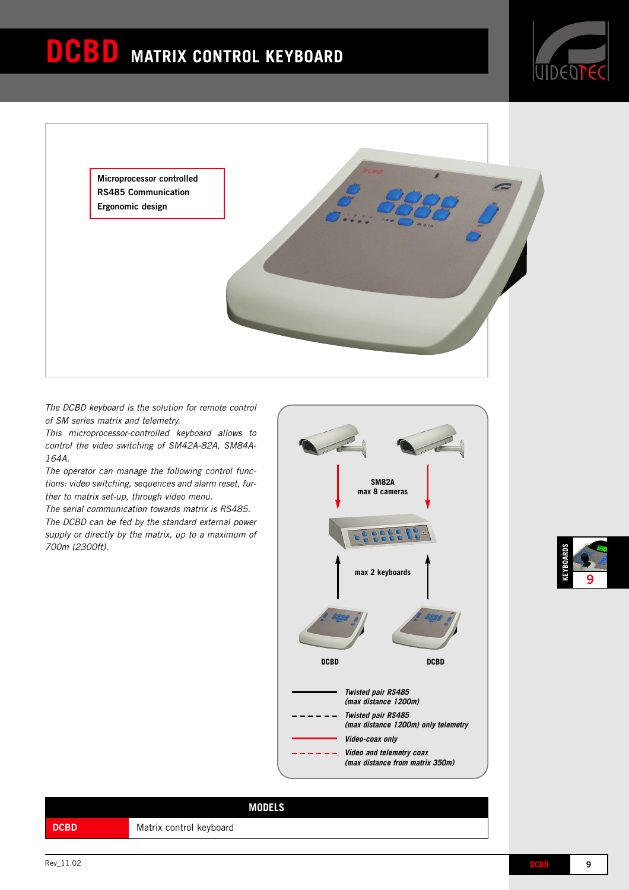

**Microprocessor controlled RS485 Communication Ergonomic design**

*The DCBD keyboard is the solution for remote control of SM series matrix and telemetry.*

*This microprocessor-controlled keyboard allows to control the video switching of SM42A-82A, SM84A-164A.*

*The operator can manage the following control functions: video switching, sequences and alarm reset, further to matrix set-up, through video menu.*

*The serial communication towards matrix is RS485. The DCBD can be fed by the standard external power supply or directly by the matrix, up to a maximum of 700m (2300ft).*



**KEYBOARDS 9**

|             | <b>MODELS</b>           |
|-------------|-------------------------|
| <b>DCBD</b> | Matrix control keyboard |